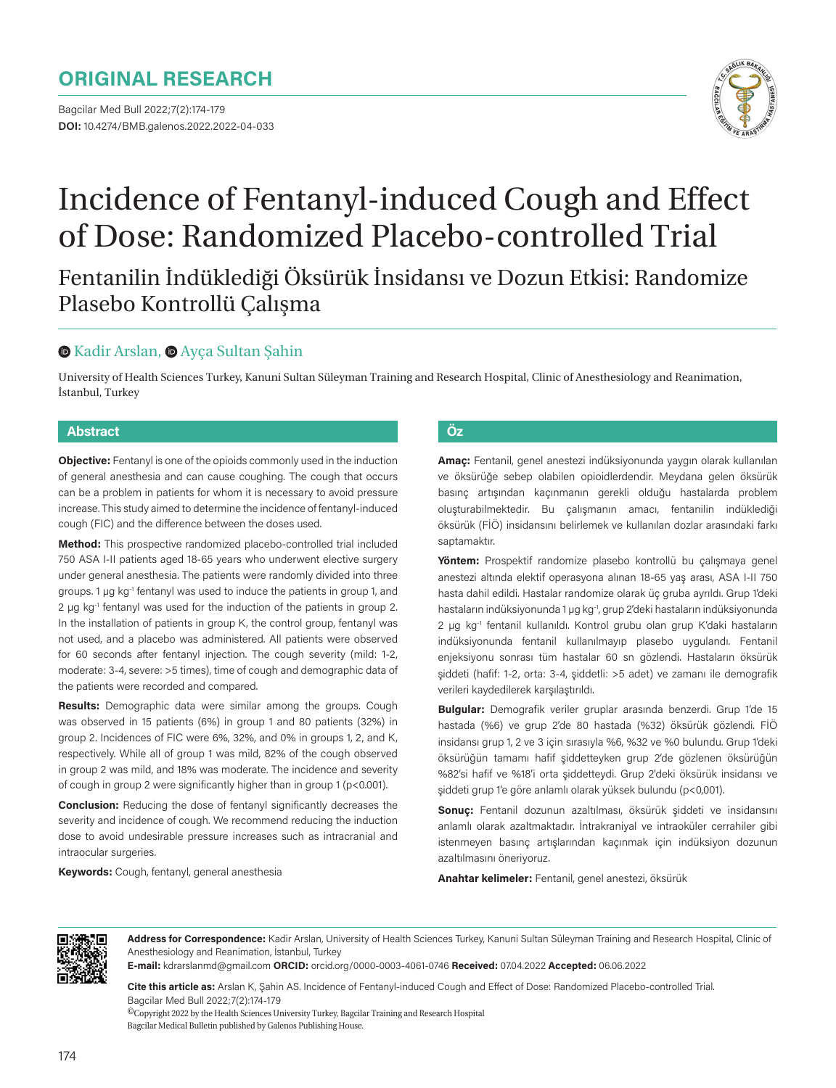# **ORIGINAL RESEARCH**

Bagcilar Med Bull 2022;7(2):174-179 **DOI:** 10.4274/BMB.galenos.2022.2022-04-033



# Incidence of Fentanyl-induced Cough and Effect of Dose: Randomized Placebo-controlled Trial

Fentanilin İndüklediği Öksürük İnsidansı ve Dozun Etkisi: Randomize Plasebo Kontrollü Çalışma

#### **■Kadir Arslan, ● Ayça Sultan Şahin**

University of Health Sciences Turkey, Kanuni Sultan Süleyman Training and Research Hospital, Clinic of Anesthesiology and Reanimation, İstanbul, Turkey

#### **Abstract Öz**

**Objective:** Fentanyl is one of the opioids commonly used in the induction of general anesthesia and can cause coughing. The cough that occurs can be a problem in patients for whom it is necessary to avoid pressure increase. This study aimed to determine the incidence of fentanyl-induced cough (FIC) and the difference between the doses used.

**Method:** This prospective randomized placebo-controlled trial included 750 ASA I-II patients aged 18-65 years who underwent elective surgery under general anesthesia. The patients were randomly divided into three groups. 1 µg kg-1 fentanyl was used to induce the patients in group 1, and 2 µg kg<sup>-1</sup> fentanyl was used for the induction of the patients in group 2. In the installation of patients in group K, the control group, fentanyl was not used, and a placebo was administered. All patients were observed for 60 seconds after fentanyl injection. The cough severity (mild: 1-2, moderate: 3-4, severe: >5 times), time of cough and demographic data of the patients were recorded and compared.

**Results:** Demographic data were similar among the groups. Cough was observed in 15 patients (6%) in group 1 and 80 patients (32%) in group 2. Incidences of FIC were 6%, 32%, and 0% in groups 1, 2, and K, respectively. While all of group 1 was mild, 82% of the cough observed in group 2 was mild, and 18% was moderate. The incidence and severity of cough in group 2 were significantly higher than in group 1 (p<0.001).

**Conclusion:** Reducing the dose of fentanyl significantly decreases the severity and incidence of cough. We recommend reducing the induction dose to avoid undesirable pressure increases such as intracranial and intraocular surgeries.

**Keywords:** Cough, fentanyl, general anesthesia

**Amaç:** Fentanil, genel anestezi indüksiyonunda yaygın olarak kullanılan ve öksürüğe sebep olabilen opioidlerdendir. Meydana gelen öksürük basınç artışından kaçınmanın gerekli olduğu hastalarda problem oluşturabilmektedir. Bu çalışmanın amacı, fentanilin indüklediği öksürük (FİÖ) insidansını belirlemek ve kullanılan dozlar arasındaki farkı saptamaktır.

**Yöntem:** Prospektif randomize plasebo kontrollü bu çalışmaya genel anestezi altında elektif operasyona alınan 18-65 yaş arası, ASA I-II 750 hasta dahil edildi. Hastalar randomize olarak üç gruba ayrıldı. Grup 1'deki hastaların indüksiyonunda 1 µg kg-1, grup 2'deki hastaların indüksiyonunda 2 µg kg-1 fentanil kullanıldı. Kontrol grubu olan grup K'daki hastaların indüksiyonunda fentanil kullanılmayıp plasebo uygulandı. Fentanil enjeksiyonu sonrası tüm hastalar 60 sn gözlendi. Hastaların öksürük şiddeti (hafif: 1-2, orta: 3-4, şiddetli: >5 adet) ve zamanı ile demografik verileri kaydedilerek karşılaştırıldı.

**Bulgular:** Demografik veriler gruplar arasında benzerdi. Grup 1'de 15 hastada (%6) ve grup 2'de 80 hastada (%32) öksürük gözlendi. FİÖ insidansı grup 1, 2 ve 3 için sırasıyla %6, %32 ve %0 bulundu. Grup 1'deki öksürüğün tamamı hafif şiddetteyken grup 2'de gözlenen öksürüğün %82'si hafif ve %18'i orta şiddetteydi. Grup 2'deki öksürük insidansı ve şiddeti grup 1'e göre anlamlı olarak yüksek bulundu (p<0,001).

**Sonuç:** Fentanil dozunun azaltılması, öksürük şiddeti ve insidansını anlamlı olarak azaltmaktadır. İntrakraniyal ve intraoküler cerrahiler gibi istenmeyen basınç artışlarından kaçınmak için indüksiyon dozunun azaltılmasını öneriyoruz.

**Anahtar kelimeler:** Fentanil, genel anestezi, öksürük



**Address for Correspondence:** Kadir Arslan, University of Health Sciences Turkey, Kanuni Sultan Süleyman Training and Research Hospital, Clinic of Anesthesiology and Reanimation, İstanbul, Turkey

**E-mail:** kdrarslanmd@gmail.com **ORCID:** orcid.org/0000-0003-4061-0746 **Received:** 07.04.2022 **Accepted:** 06.06.2022

**Cite this article as:** Arslan K, Şahin AS. Incidence of Fentanyl-induced Cough and Effect of Dose: Randomized Placebo-controlled Trial. Bagcilar Med Bull 2022;7(2):174-179

 ${}^{{\sf O}}$ Copyright 2022 by the Health Sciences University Turkey, Bagcilar Training and Research Hospital Bagcilar Medical Bulletin published by Galenos Publishing House.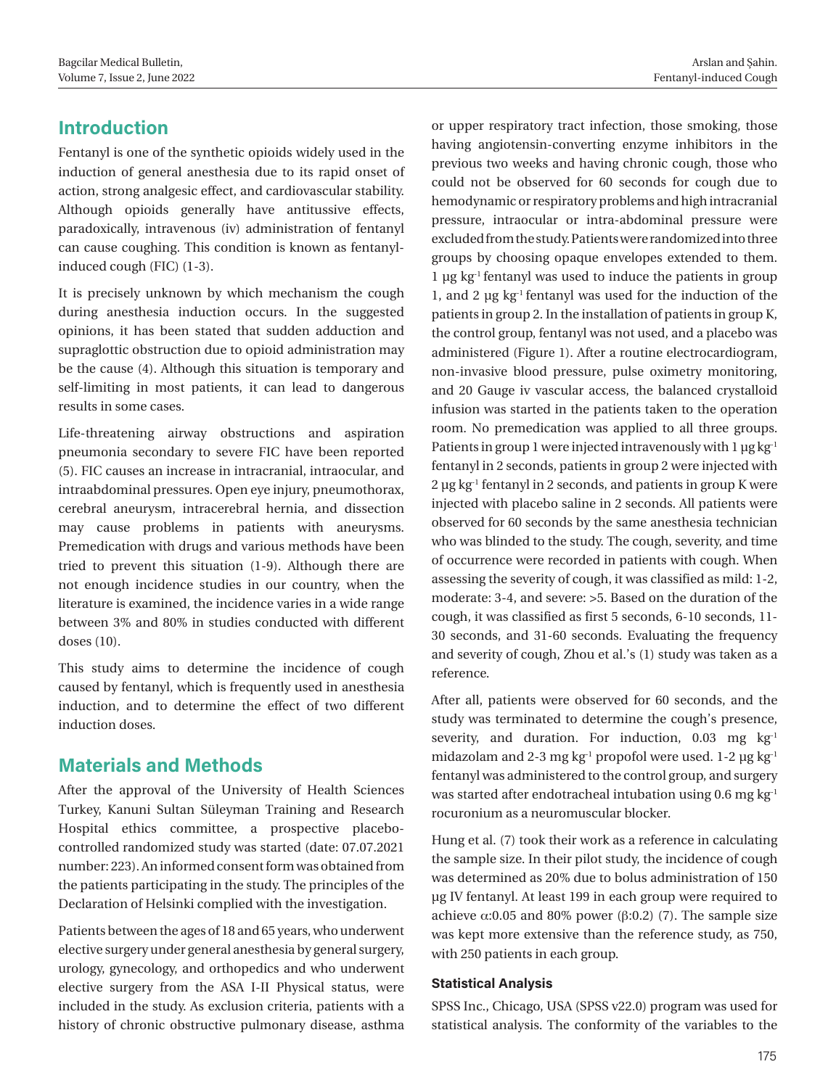## **Introduction**

Fentanyl is one of the synthetic opioids widely used in the induction of general anesthesia due to its rapid onset of action, strong analgesic effect, and cardiovascular stability. Although opioids generally have antitussive effects, paradoxically, intravenous (iv) administration of fentanyl can cause coughing. This condition is known as fentanylinduced cough (FIC) (1-3).

It is precisely unknown by which mechanism the cough during anesthesia induction occurs. In the suggested opinions, it has been stated that sudden adduction and supraglottic obstruction due to opioid administration may be the cause (4). Although this situation is temporary and self-limiting in most patients, it can lead to dangerous results in some cases.

Life-threatening airway obstructions and aspiration pneumonia secondary to severe FIC have been reported (5). FIC causes an increase in intracranial, intraocular, and intraabdominal pressures. Open eye injury, pneumothorax, cerebral aneurysm, intracerebral hernia, and dissection may cause problems in patients with aneurysms. Premedication with drugs and various methods have been tried to prevent this situation (1-9). Although there are not enough incidence studies in our country, when the literature is examined, the incidence varies in a wide range between 3% and 80% in studies conducted with different doses (10).

This study aims to determine the incidence of cough caused by fentanyl, which is frequently used in anesthesia induction, and to determine the effect of two different induction doses.

# **Materials and Methods**

After the approval of the University of Health Sciences Turkey, Kanuni Sultan Süleyman Training and Research Hospital ethics committee, a prospective placebocontrolled randomized study was started (date: 07.07.2021 number: 223). An informed consent form was obtained from the patients participating in the study. The principles of the Declaration of Helsinki complied with the investigation.

Patients between the ages of 18 and 65 years, who underwent elective surgery under general anesthesia by general surgery, urology, gynecology, and orthopedics and who underwent elective surgery from the ASA I-II Physical status, were included in the study. As exclusion criteria, patients with a history of chronic obstructive pulmonary disease, asthma

or upper respiratory tract infection, those smoking, those having angiotensin-converting enzyme inhibitors in the previous two weeks and having chronic cough, those who could not be observed for 60 seconds for cough due to hemodynamic or respiratory problems and high intracranial pressure, intraocular or intra-abdominal pressure were excluded from the study. Patients were randomized into three groups by choosing opaque envelopes extended to them. 1 µg kg-1 fentanyl was used to induce the patients in group 1, and 2 µg kg-1 fentanyl was used for the induction of the patients in group 2. In the installation of patients in group K, the control group, fentanyl was not used, and a placebo was administered (Figure 1). After a routine electrocardiogram, non-invasive blood pressure, pulse oximetry monitoring, and 20 Gauge iv vascular access, the balanced crystalloid infusion was started in the patients taken to the operation room. No premedication was applied to all three groups. Patients in group 1 were injected intravenously with  $1 \mu g kg^{-1}$ fentanyl in 2 seconds, patients in group 2 were injected with 2 µg kg<sup>-1</sup> fentanyl in 2 seconds, and patients in group K were injected with placebo saline in 2 seconds. All patients were observed for 60 seconds by the same anesthesia technician who was blinded to the study. The cough, severity, and time of occurrence were recorded in patients with cough. When assessing the severity of cough, it was classified as mild: 1-2, moderate: 3-4, and severe: >5. Based on the duration of the cough, it was classified as first 5 seconds, 6-10 seconds, 11- 30 seconds, and 31-60 seconds. Evaluating the frequency and severity of cough, Zhou et al.'s (1) study was taken as a reference.

After all, patients were observed for 60 seconds, and the study was terminated to determine the cough's presence, severity, and duration. For induction,  $0.03 \text{ mg} \text{ kg}^{-1}$ midazolam and 2-3 mg kg<sup>-1</sup> propofol were used. 1-2  $\mu$ g kg<sup>-1</sup> fentanyl was administered to the control group, and surgery was started after endotracheal intubation using  $0.6$  mg kg<sup>-1</sup> rocuronium as a neuromuscular blocker.

Hung et al. (7) took their work as a reference in calculating the sample size. In their pilot study, the incidence of cough was determined as 20% due to bolus administration of 150 µg IV fentanyl. At least 199 in each group were required to achieve  $\alpha$ :0.05 and 80% power (β:0.2) (7). The sample size was kept more extensive than the reference study, as 750, with 250 patients in each group.

#### **Statistical Analysis**

SPSS Inc., Chicago, USA (SPSS v22.0) program was used for statistical analysis. The conformity of the variables to the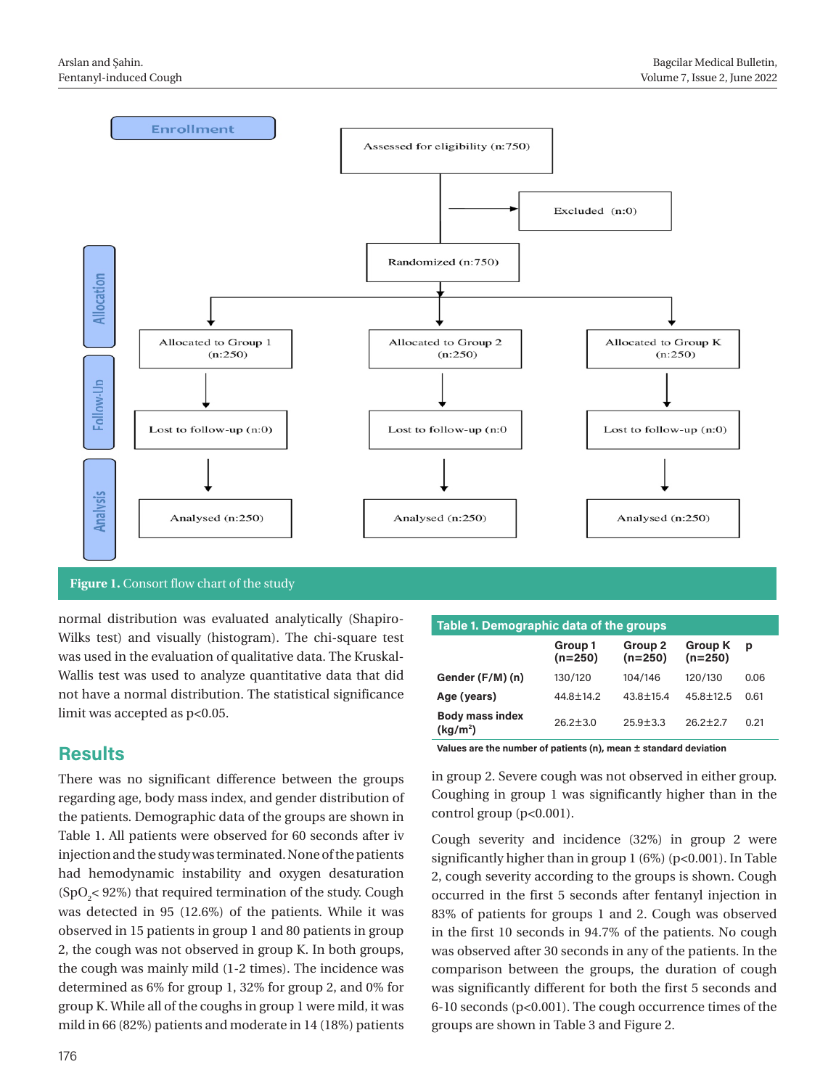

**Figure 1.** Consort flow chart of the study

normal distribution was evaluated analytically (Shapiro-Wilks test) and visually (histogram). The chi-square test was used in the evaluation of qualitative data. The Kruskal-Wallis test was used to analyze quantitative data that did not have a normal distribution. The statistical significance limit was accepted as  $p<0.05$ .

# **Results**

There was no significant difference between the groups regarding age, body mass index, and gender distribution of the patients. Demographic data of the groups are shown in Table 1. All patients were observed for 60 seconds after iv injection and the study was terminated. None of the patients had hemodynamic instability and oxygen desaturation  $(SpO<sub>2</sub>< 92%)$  that required termination of the study. Cough was detected in 95 (12.6%) of the patients. While it was observed in 15 patients in group 1 and 80 patients in group 2, the cough was not observed in group K. In both groups, the cough was mainly mild (1-2 times). The incidence was determined as 6% for group 1, 32% for group 2, and 0% for group K. While all of the coughs in group 1 were mild, it was mild in 66 (82%) patients and moderate in 14 (18%) patients

| Table 1. Demographic data of the groups        |                      |                      |                             |      |  |  |  |
|------------------------------------------------|----------------------|----------------------|-----------------------------|------|--|--|--|
|                                                | Group 1<br>$(n=250)$ | Group 2<br>$(n=250)$ | <b>Group K</b><br>$(n=250)$ | p    |  |  |  |
| Gender (F/M) (n)                               | 130/120              | 104/146              | 120/130                     | 0.06 |  |  |  |
| Age (years)                                    | 44.8±14.2            | 43.8±15.4            | $45.8 + 12.5$               | 0.61 |  |  |  |
| <b>Body mass index</b><br>(kg/m <sup>2</sup> ) | $26.2 \pm 3.0$       | $25.9 + 3.3$         | $26.2 + 2.7$                | 0.21 |  |  |  |

**Values are the number of patients (n), mean ± standard deviation**

in group 2. Severe cough was not observed in either group. Coughing in group 1 was significantly higher than in the control group (p<0.001).

Cough severity and incidence (32%) in group 2 were significantly higher than in group  $1(6\%)$  (p<0.001). In Table 2, cough severity according to the groups is shown. Cough occurred in the first 5 seconds after fentanyl injection in 83% of patients for groups 1 and 2. Cough was observed in the first 10 seconds in 94.7% of the patients. No cough was observed after 30 seconds in any of the patients. In the comparison between the groups, the duration of cough was significantly different for both the first 5 seconds and 6-10 seconds (p<0.001). The cough occurrence times of the groups are shown in Table 3 and Figure 2.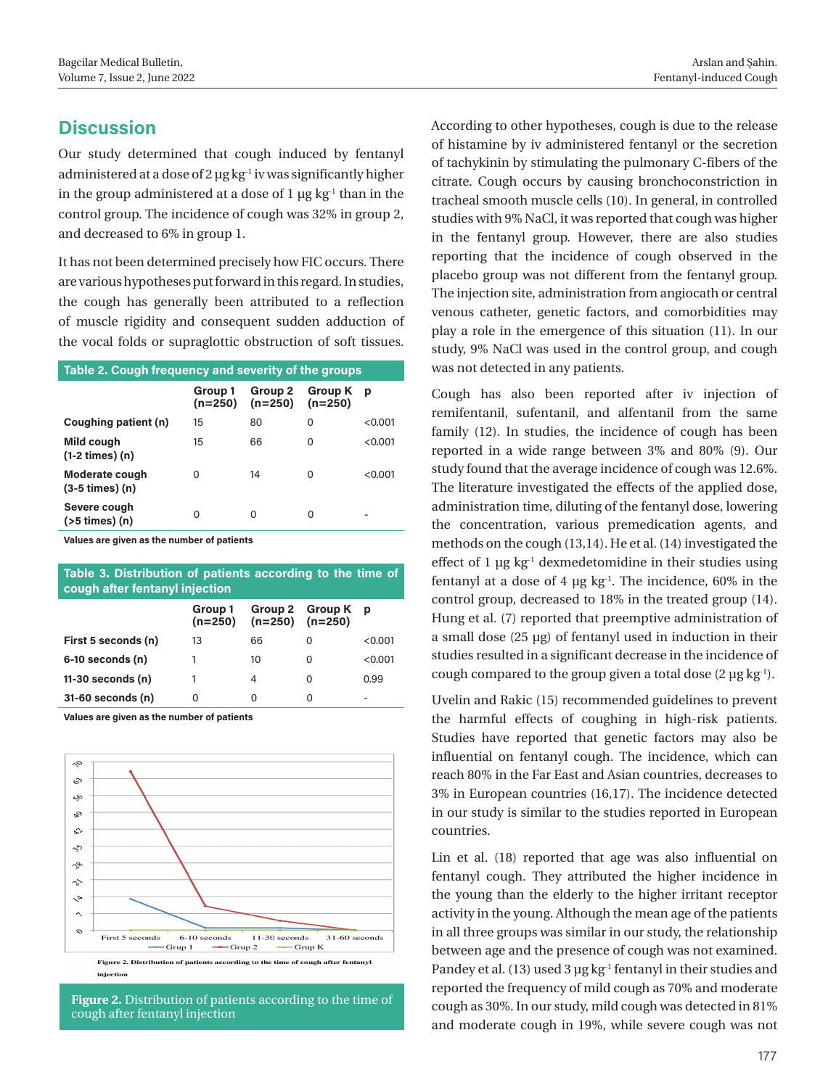# **Discussion**

Our study determined that cough induced by fentanyl administered at a dose of 2  $\mu$ g kg<sup>-1</sup> iv was significantly higher in the group administered at a dose of  $1 \mu g kg^{-1}$  than in the control group. The incidence of cough was 32% in group 2, and decreased to 6% in group 1.

It has not been determined precisely how FIC occurs. There are various hypotheses put forward in this regard. In studies, the cough has generally been attributed to a reflection of muscle rigidity and consequent sudden adduction of the vocal folds or supraglottic obstruction of soft tissues.

| Table 2. Cough frequency and severity of the groups |                    |                                |                |         |  |  |  |
|-----------------------------------------------------|--------------------|--------------------------------|----------------|---------|--|--|--|
|                                                     | Group 1<br>(n=250) | Group 2<br>$(n=250)$ $(n=250)$ | <b>Group K</b> | p       |  |  |  |
| Coughing patient (n)                                | 15                 | 80                             | 0              | < 0.001 |  |  |  |
| Mild cough<br>$(1-2 \times)$ (n)                    | 15                 | 66                             | 0              | < 0.001 |  |  |  |
| Moderate cough<br>$(3-5 \times)$ (n)                | 0                  | 14                             | 0              | < 0.001 |  |  |  |
| Severe cough<br>$($ >5 times $)$ (n)                | 0                  | 0                              | 0              |         |  |  |  |

**Values are given as the number of patients**

**Table 3. Distribution of patients according to the time of cough after fentanyl injection**

|                       | Group 1 | $(n=250)$ $(n=250)$ $(n=250)$ | Group 2 Group K p |         |
|-----------------------|---------|-------------------------------|-------------------|---------|
| First 5 seconds (n)   | 13      | 66                            | O                 | < 0.001 |
| $6-10$ seconds $(n)$  |         | 10                            | 0                 | < 0.001 |
| $11-30$ seconds $(n)$ |         | 4                             | 0                 | 0.99    |
| $31-60$ seconds $(n)$ |         | 0                             | O                 |         |

**Values are given as the number of patients**



**Figure 2.** Distribution of patients according to the time of cough after fentanyl injection

According to other hypotheses, cough is due to the release of histamine by iv administered fentanyl or the secretion of tachykinin by stimulating the pulmonary C-fibers of the citrate. Cough occurs by causing bronchoconstriction in tracheal smooth muscle cells (10). In general, in controlled studies with 9% NaCl, it was reported that cough was higher in the fentanyl group. However, there are also studies reporting that the incidence of cough observed in the placebo group was not different from the fentanyl group. The injection site, administration from angiocath or central venous catheter, genetic factors, and comorbidities may play a role in the emergence of this situation (11). In our study, 9% NaCl was used in the control group, and cough was not detected in any patients.

Cough has also been reported after iv injection of remifentanil, sufentanil, and alfentanil from the same family (12). In studies, the incidence of cough has been reported in a wide range between 3% and 80% (9). Our study found that the average incidence of cough was 12.6%. The literature investigated the effects of the applied dose, administration time, diluting of the fentanyl dose, lowering the concentration, various premedication agents, and methods on the cough (13,14). He et al. (14) investigated the effect of  $1 \mu$ g kg<sup>-1</sup> dexmedetomidine in their studies using fentanyl at a dose of 4  $\mu$ g kg<sup>-1</sup>. The incidence, 60% in the control group, decreased to 18% in the treated group (14). Hung et al. (7) reported that preemptive administration of a small dose (25 µg) of fentanyl used in induction in their studies resulted in a significant decrease in the incidence of cough compared to the group given a total dose  $(2 \mu g \, kg^{-1})$ .

Uvelin and Rakic (15) recommended guidelines to prevent the harmful effects of coughing in high-risk patients. Studies have reported that genetic factors may also be influential on fentanyl cough. The incidence, which can reach 80% in the Far East and Asian countries, decreases to 3% in European countries (16,17). The incidence detected in our study is similar to the studies reported in European countries.

Lin et al. (18) reported that age was also influential on fentanyl cough. They attributed the higher incidence in the young than the elderly to the higher irritant receptor activity in the young. Although the mean age of the patients in all three groups was similar in our study, the relationship between age and the presence of cough was not examined. Pandey et al. (13) used  $3 \mu$ g kg<sup>-1</sup> fentanyl in their studies and reported the frequency of mild cough as 70% and moderate cough as 30%. In our study, mild cough was detected in 81% and moderate cough in 19%, while severe cough was not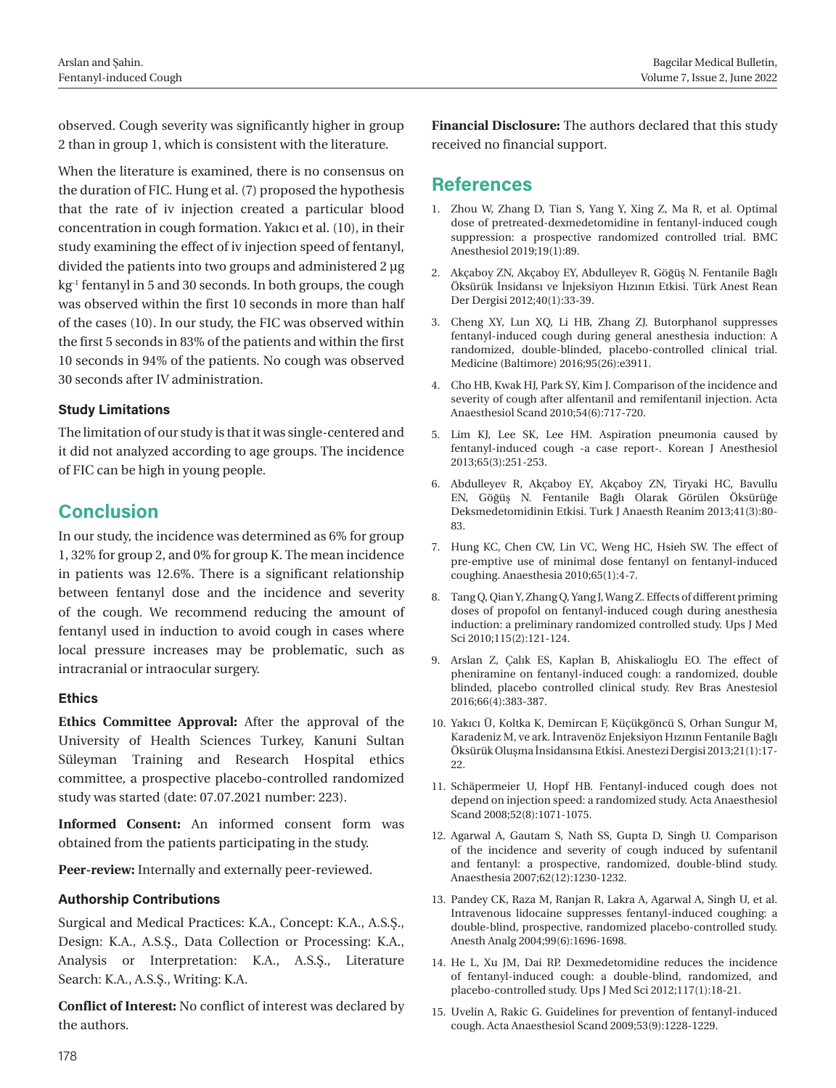observed. Cough severity was significantly higher in group 2 than in group 1, which is consistent with the literature.

When the literature is examined, there is no consensus on the duration of FIC. Hung et al. (7) proposed the hypothesis that the rate of iv injection created a particular blood concentration in cough formation. Yakıcı et al. (10), in their study examining the effect of iv injection speed of fentanyl, divided the patients into two groups and administered 2 µg kg<sup>-1</sup> fentanyl in 5 and 30 seconds. In both groups, the cough was observed within the first 10 seconds in more than half of the cases (10). In our study, the FIC was observed within the first 5 seconds in 83% of the patients and within the first 10 seconds in 94% of the patients. No cough was observed 30 seconds after IV administration.

#### **Study Limitations**

The limitation of our study is that it was single-centered and it did not analyzed according to age groups. The incidence of FIC can be high in young people.

# **Conclusion**

In our study, the incidence was determined as 6% for group 1, 32% for group 2, and 0% for group K. The mean incidence in patients was 12.6%. There is a significant relationship between fentanyl dose and the incidence and severity of the cough. We recommend reducing the amount of fentanyl used in induction to avoid cough in cases where local pressure increases may be problematic, such as intracranial or intraocular surgery.

#### **Ethics**

**Ethics Committee Approval:** After the approval of the University of Health Sciences Turkey, Kanuni Sultan Süleyman Training and Research Hospital ethics committee, a prospective placebo-controlled randomized study was started (date: 07.07.2021 number: 223).

**Informed Consent:** An informed consent form was obtained from the patients participating in the study.

**Peer-review:** Internally and externally peer-reviewed.

#### **Authorship Contributions**

Surgical and Medical Practices: K.A., Concept: K.A., A.S.Ş., Design: K.A., A.S.Ş., Data Collection or Processing: K.A., Analysis or Interpretation: K.A., A.S.Ş., Literature Search: K.A., A.S.Ş., Writing: K.A.

**Conflict of Interest:** No conflict of interest was declared by the authors.

**Financial Disclosure:** The authors declared that this study received no financial support.

## **References**

- 1. Zhou W, Zhang D, Tian S, Yang Y, Xing Z, Ma R, et al. Optimal dose of pretreated-dexmedetomidine in fentanyl-induced cough suppression: a prospective randomized controlled trial. BMC Anesthesiol 2019;19(1):89.
- 2. Akçaboy ZN, Akçaboy EY, Abdulleyev R, Göğüş N. Fentanile Bağlı Öksürük İnsidansı ve İnjeksiyon Hızının Etkisi. Türk Anest Rean Der Dergisi 2012;40(1):33-39.
- 3. Cheng XY, Lun XQ, Li HB, Zhang ZJ. Butorphanol suppresses fentanyl-induced cough during general anesthesia induction: A randomized, double-blinded, placebo-controlled clinical trial. Medicine (Baltimore) 2016;95(26):e3911.
- 4. Cho HB, Kwak HJ, Park SY, Kim J. Comparison of the incidence and severity of cough after alfentanil and remifentanil injection. Acta Anaesthesiol Scand 2010;54(6):717-720.
- 5. Lim KJ, Lee SK, Lee HM. Aspiration pneumonia caused by fentanyl-induced cough -a case report-. Korean J Anesthesiol 2013;65(3):251-253.
- 6. Abdulleyev R, Akçaboy EY, Akçaboy ZN, Tiryaki HC, Bavullu EN, Göğüş N. Fentanile Bağlı Olarak Görülen Öksürüğe Deksmedetomidinin Etkisi. Turk J Anaesth Reanim 2013;41(3):80- 83.
- 7. Hung KC, Chen CW, Lin VC, Weng HC, Hsieh SW. The effect of pre-emptive use of minimal dose fentanyl on fentanyl-induced coughing. Anaesthesia 2010;65(1):4-7.
- 8. Tang Q, Qian Y, Zhang Q, Yang J, Wang Z. Effects of different priming doses of propofol on fentanyl-induced cough during anesthesia induction: a preliminary randomized controlled study. Ups J Med Sci 2010;115(2):121-124.
- 9. Arslan Z, Çalık ES, Kaplan B, Ahiskalioglu EO. The effect of pheniramine on fentanyl-induced cough: a randomized, double blinded, placebo controlled clinical study. Rev Bras Anestesiol 2016;66(4):383-387.
- 10. Yakıcı Ü, Koltka K, Demircan F, Küçükgöncü S, Orhan Sungur M, Karadeniz M, ve ark. İntravenöz Enjeksiyon Hızının Fentanile Bağlı Öksürük Oluşma İnsidansına Etkisi. Anestezi Dergisi 2013;21(1):17- 22.
- 11. Schäpermeier U, Hopf HB. Fentanyl-induced cough does not depend on injection speed: a randomized study. Acta Anaesthesiol Scand 2008;52(8):1071-1075.
- 12. Agarwal A, Gautam S, Nath SS, Gupta D, Singh U. Comparison of the incidence and severity of cough induced by sufentanil and fentanyl: a prospective, randomized, double-blind study. Anaesthesia 2007;62(12):1230-1232.
- 13. Pandey CK, Raza M, Ranjan R, Lakra A, Agarwal A, Singh U, et al. Intravenous lidocaine suppresses fentanyl-induced coughing: a double-blind, prospective, randomized placebo-controlled study. Anesth Analg 2004;99(6):1696-1698.
- 14. He L, Xu JM, Dai RP. Dexmedetomidine reduces the incidence of fentanyl-induced cough: a double-blind, randomized, and placebo-controlled study. Ups J Med Sci 2012;117(1):18-21.
- 15. Uvelin A, Rakic G. Guidelines for prevention of fentanyl-induced cough. Acta Anaesthesiol Scand 2009;53(9):1228-1229.